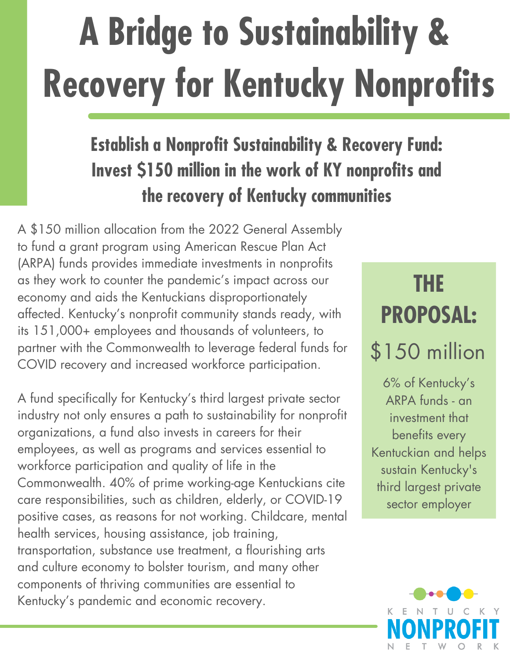# **A Bridge to Sustainability & Recovery for Kentucky Nonprofits**

#### **Establish a Nonprofit Sustainability & Recovery Fund: Invest \$150 million in the work of KY nonprofits and the recovery of Kentucky communities**

A \$150 million allocation from the 2022 General Assembly to fund a grant program using American Rescue Plan Act (ARPA) funds provides immediate investments in nonprofits as they work to counter the pandemic's impact across our economy and aids the Kentuckians disproportionately affected. Kentucky's nonprofit community stands ready, with its 151,000+ employees and thousands of volunteers, to partner with the Commonwealth to leverage federal funds for COVID recovery and increased workforce participation.

A fund specifically for Kentucky's third largest private sector industry not only ensures a path to sustainability for nonprofit organizations, a fund also invests in careers for their employees, as well as programs and services essential to workforce participation and quality of life in the Commonwealth. 40% of prime working-age Kentuckians cite care responsibilities, such as children, elderly, or COVID-19 positive cases, as reasons for not working. Childcare, mental health services, housing assistance, job training, transportation, substance use treatment, a flourishing arts and culture economy to bolster tourism, and many other components of thriving communities are essential to Kentucky's pandemic and economic recovery.

# **THE PROPOSAL:**

## \$150 million

6% of Kentucky's ARPA funds - an investment that benefits every Kentuckian and helps sustain Kentucky's third largest private sector employer